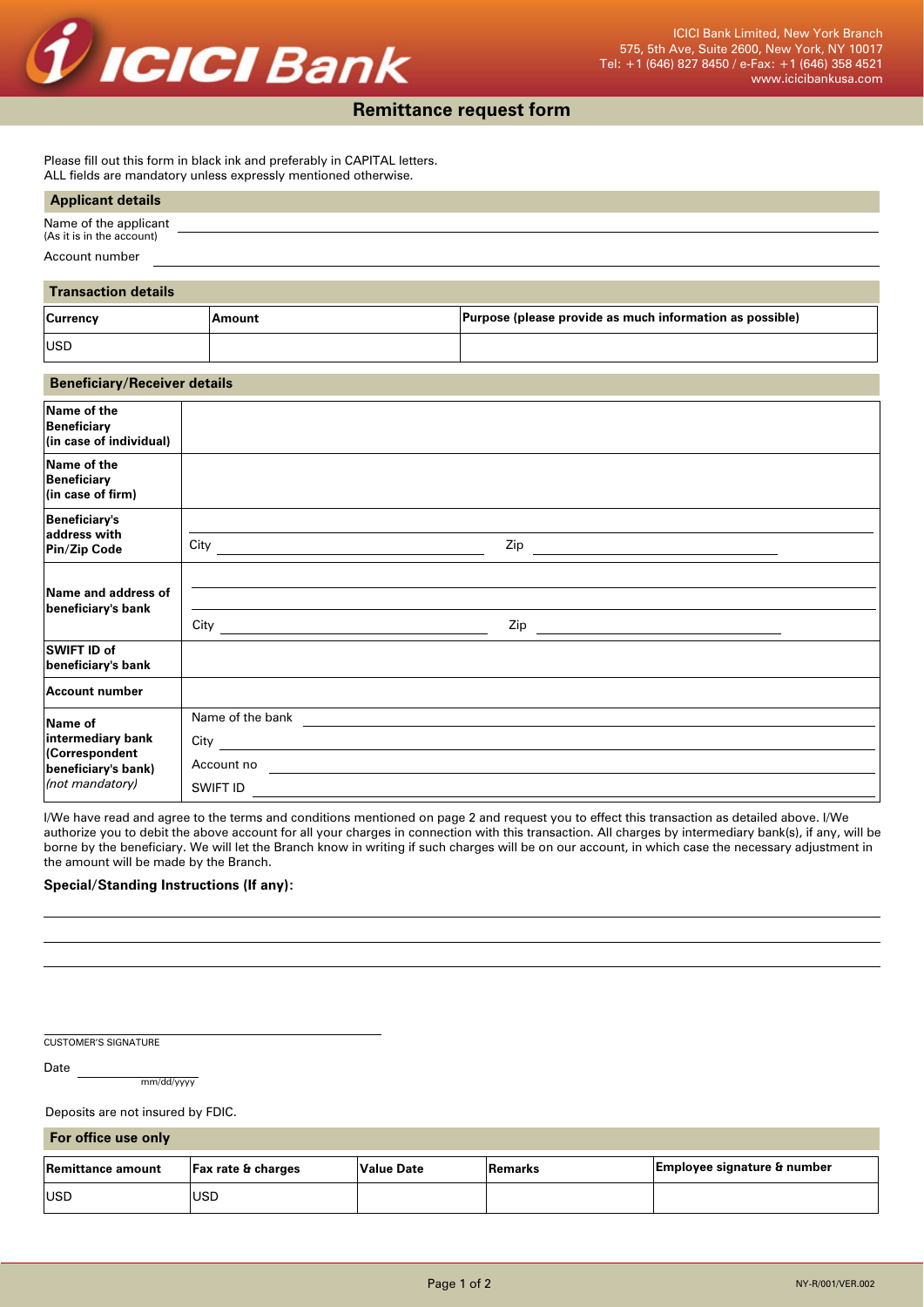

## **Remittance request form**

Please fill out this form in black ink and preferably in CAPITAL letters. ALL fields are mandatory unless expressly mentioned otherwise.

#### **Applicant details**

| Name of the applicant     |  |  |
|---------------------------|--|--|
| (As it is in the account) |  |  |
| Account number            |  |  |

# **Transaction details**

| <b>Currency</b> | Amount | Purpose (please provide as much information as possible) |
|-----------------|--------|----------------------------------------------------------|
| <b>IUSD</b>     |        |                                                          |

#### **Beneficiary/Receiver details**

| Name of the<br>Beneficiary<br>(in case of individual)                                    |                                                                    |     |
|------------------------------------------------------------------------------------------|--------------------------------------------------------------------|-----|
| Name of the<br>Beneficiary<br>$\vert$ (in case of firm)                                  |                                                                    |     |
| <b>Beneficiary's</b><br>address with<br>Pin/Zip Code                                     | City                                                               |     |
| Name and address of<br>beneficiary's bank                                                | $City$ <sub>----</sub>                                             | Zip |
| SWIFT ID of<br>beneficiary's bank                                                        |                                                                    |     |
| Account number                                                                           |                                                                    |     |
| Name of<br>intermediary bank<br>(Correspondent<br>beneficiary's bank)<br>(not mandatory) | Name of the bank<br>City $\qquad \qquad$<br>Account no<br>SWIFT ID |     |

I/We have read and agree to the terms and conditions mentioned on page 2 and request you to effect this transaction as detailed above. I/We authorize you to debit the above account for all your charges in connection with this transaction. All charges by intermediary bank(s), if any, will be borne by the beneficiary. We will let the Branch know in writing if such charges will be on our account, in which case the necessary adjustment in the amount will be made by the Branch.

### **Special/Standing Instructions (If any):**

CUSTOMER'S SIGNATURE

Date

mm/dd/yyyy

Deposits are not insured by FDIC.

**For office use only**

| Remittance amount | <b>Fax rate &amp; charges</b> | Value Date | Remarks | Employee signature & number |
|-------------------|-------------------------------|------------|---------|-----------------------------|
| <b>IUSD</b>       | USD                           |            |         |                             |